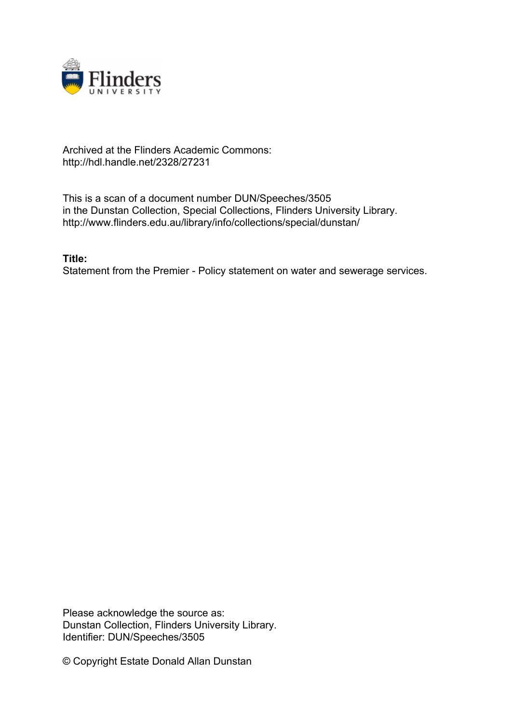

# Archived at the Flinders Academic Commons: http://hdl.handle.net/2328/27231

This is a scan of a document number DUN/Speeches/3505 in the Dunstan Collection, Special Collections, Flinders University Library. http://www.flinders.edu.au/library/info/collections/special/dunstan/

**Title:**

Statement from the Premier - Policy statement on water and sewerage services.

Please acknowledge the source as: Dunstan Collection, Flinders University Library. Identifier: DUN/Speeches/3505

© Copyright Estate Donald Allan Dunstan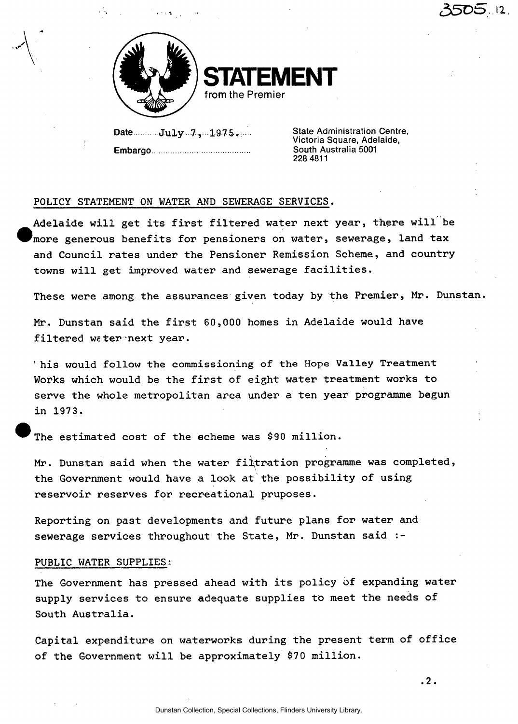

**STATEMENT**  from the Premier

 $Data$  .........**July** ...7, ...1975.... **Embargo** 

State Administration Centre, Victoria Square, Adelaide, South Australia 5001 228 4811

*35D&.M.* 

# POLICY STATEMENT ON WATER AND SEWERAGE SERVICES.

Adelaide will get its first filtered water next year, there will be more generous benefits for pensioners on water, sewerage, land tax and Council rates under the Pensioner Remission Scheme, and country towns will get improved water and sewerage facilities.

These were among the assurances given today by the Premier, Mr. Dunstan.

Mr. Dunstan said the first 60,000 homes in Adelaide would have filtered water next year.

' his would follow the commissioning of the Hope Valley Treatment Works which would be the first of eight water treatment works to serve the whole metropolitan area under a ten year programme begun in 1973.

The estimated cost of the scheme was \$90 million.

Mr. Dunstan said when the water filtration programme was completed, the Government would have a look at the possibility of using reservoir reserves for recreational pruposes.

Reporting on past developments and future plans for water and sewerage services throughout the State, Mr. Dunstan said :-

# PUBLIC WATER SUPPLIES:

The Government has pressed ahead with its policy of expanding water supply services to ensure adequate supplies to meet the needs of South Australia.

Capital expenditure on waterworks during the present term of office of the Government will be approximately \$70 million.

**.2.**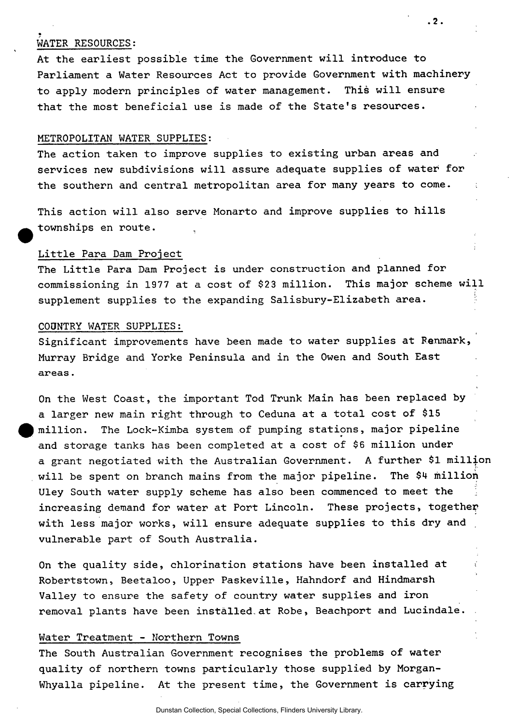# WATER RESOURCES:

At the earliest possible time the Government will introduce to Parliament a Water Resources Act to provide Government with machinery to apply modern principles of water management. This will ensure that the most beneficial use is made of the State's resources.

**.2.** 

## METROPOLITAN WATER SUPPLIES:

The action taken to improve supplies to existing urban areas and services new subdivisions will assure adequate supplies of water for the southern and central metropolitan area for many years to come.

This action will also serve Monarto and improve supplies to hills townships en route. .

# Little Para Dam Project

The Little Para Dam Project is under construction and planned for commissioning in 1977 at a cost of \$23 million. This major scheme will supplement supplies to the expanding Salisbury-Elizabeth area.

#### COONTRY WATER SUPPLIES:

Significant improvements have been made to water supplies at Fenmark, Murray Bridge and Yorke Peninsula and in the Owen and South East areas.

On the West Coast, the important Tod Trunk Main has been replaced by a larger new main right through to Ceduna at a total cost of \$15 million. The Lock-Kimba system of pumping stations, major pipeline and storage tanks has been completed at a cost of \$6 million under a grant negotiated with the Australian Government. A further \$1 million will be spent on branch mains from the major pipeline. The \$4 million Uley South water supply scheme has also been commenced to meet the increasing demand for water at Port Lincoln. These projects, together with less major works, will ensure adequate supplies to this dry and vulnerable part of South Australia.

On the quality side, chlorination stations have been installed at Robertstown, Beetaloo, Upper Paskeville, Hahndorf and Hindmarsh Valley to ensure the safety of country water supplies and iron removal plants have been installed,at Robe, Beachport and Lucindale.

## Water Treatment - Northern Towns

The South Australian Government recognises the problems of water quality of northern towns particularly those supplied by Morgan-Whyalla pipeline. At the present time, the Government is carrying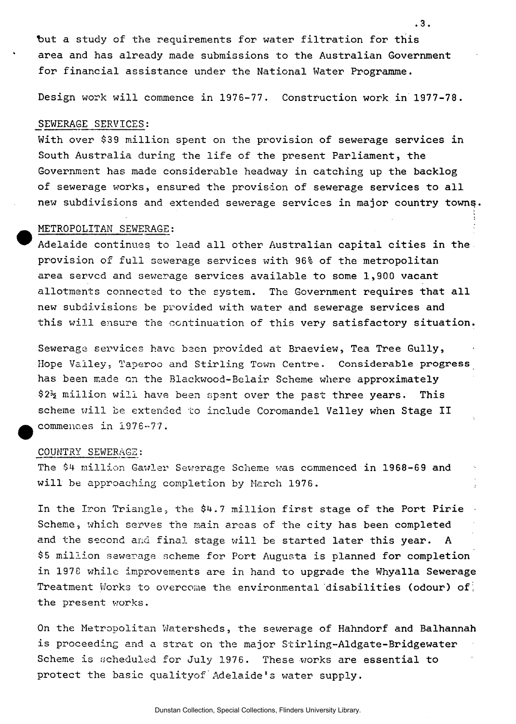but a study of the requirements for water filtration for this area and has already made submissions to the Australian Government for financial assistance under the National Water Programme.

**.3.** 

Design work will commence in 1976-77. Construction work in 1977-78.

#### SEWERAGE SERVICES:

With over \$39 million spent on the provision of sewerage services in South Australia during the life of the present Parliament, the Government has made considerable headway in catching up the backlog of sewerage works, ensured the provision of sewerage services to all new subdivisions and extended sewerage services in major country towns.

### METROPOLITAN SEWERAGE:

Adelaide continues to lead all other Australian capital cities in the provision of full sewerage services with 96% of the metropolitan area served and sewerage services available to some 1,900 vacant allotments connected to the system. The Government requires that all new subdivisions be provided with water and sewerage services and this will ensure the continuation of this very satisfactory situation.

Sewerage services have been provided at Braeview, Tea Tree Gully, Hope Valley. Taperoo **and** Stirling **Town** Centre. Considerable progress has been made on the Blackwood-Belair Scheme where approximately \$2% million will have been spent over the past three years. This scheme will be extended to include Coromandel Valley when Stage II commences in 1976-77.

## COUNTRY SEWERAGE:

The \$4 million Gawler Sewerage Scheme was commenced in 1968-69 and will be approaching completion by March 1976.

In the Iron Triangle, the \$4.7 million first stage of the Port Pirie Scheme, which serves the main areas of the city has been completed and the second and final stage will be started later this year. A \$5 million sewerage scheme for Port Augusta is planned for completion in 1978 while improvements are in hand to upgrade the Whyalla Sewerage Treatment Works to overcome the environmental disabilities (odour) of: the present works.

On the Metropolitan Watersheds, the sewerage of Hahndorf and Balhannah is proceeding and a strat on the major Stirling-Aldgate-Bridgewater Scheme is scheduled for July 1976. These works are essential to protect the basic qualityof Adelaide's water supply.